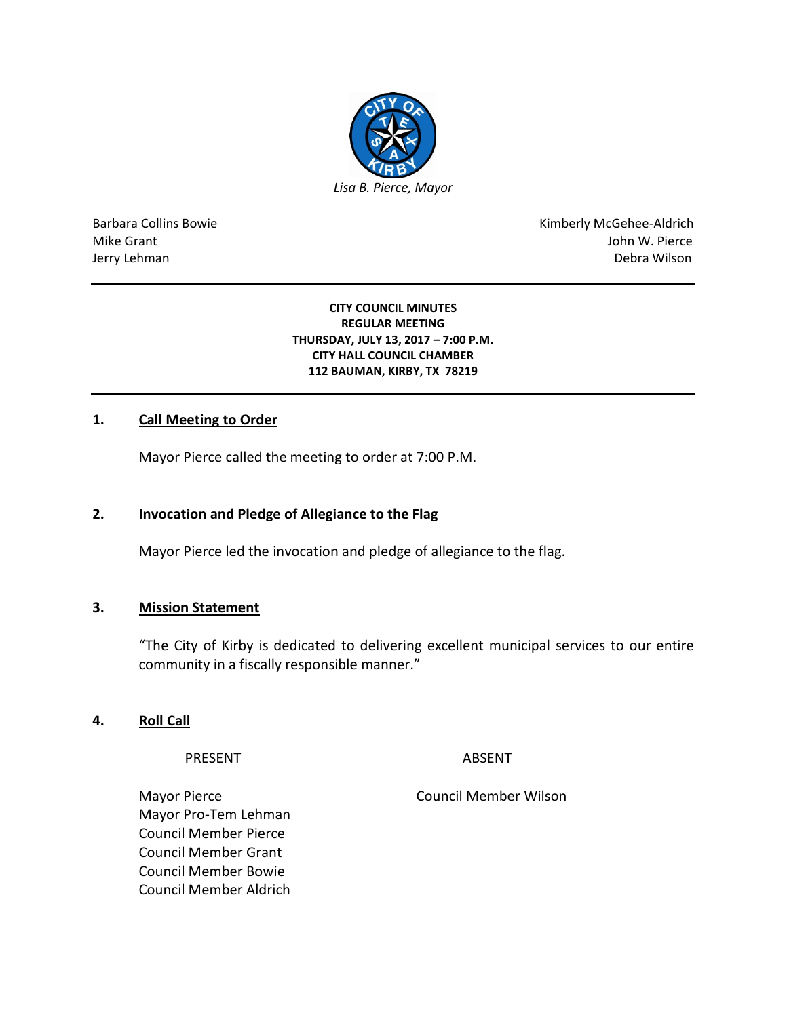

Barbara Collins Bowie **Kimberly McGehee-Aldrich** Mike Grant John W. Pierce Jerry Lehman Debra Wilson (2008) and the state of the state of the state of the state of the state of the state of the state of the state of the state of the state of the state of the state of the state of the state of the

#### **CITY COUNCIL MINUTES REGULAR MEETING THURSDAY, JULY 13, 2017 – 7:00 P.M. CITY HALL COUNCIL CHAMBER 112 BAUMAN, KIRBY, TX 78219**

## **1. Call Meeting to Order**

Mayor Pierce called the meeting to order at 7:00 P.M.

#### **2. Invocation and Pledge of Allegiance to the Flag**

Mayor Pierce led the invocation and pledge of allegiance to the flag.

#### **3. Mission Statement**

"The City of Kirby is dedicated to delivering excellent municipal services to our entire community in a fiscally responsible manner."

### **4. Roll Call**

PRESENT ABSENT

Mayor Pierce **Council Member Wilson** Mayor Pro-Tem Lehman Council Member Pierce Council Member Grant Council Member Bowie Council Member Aldrich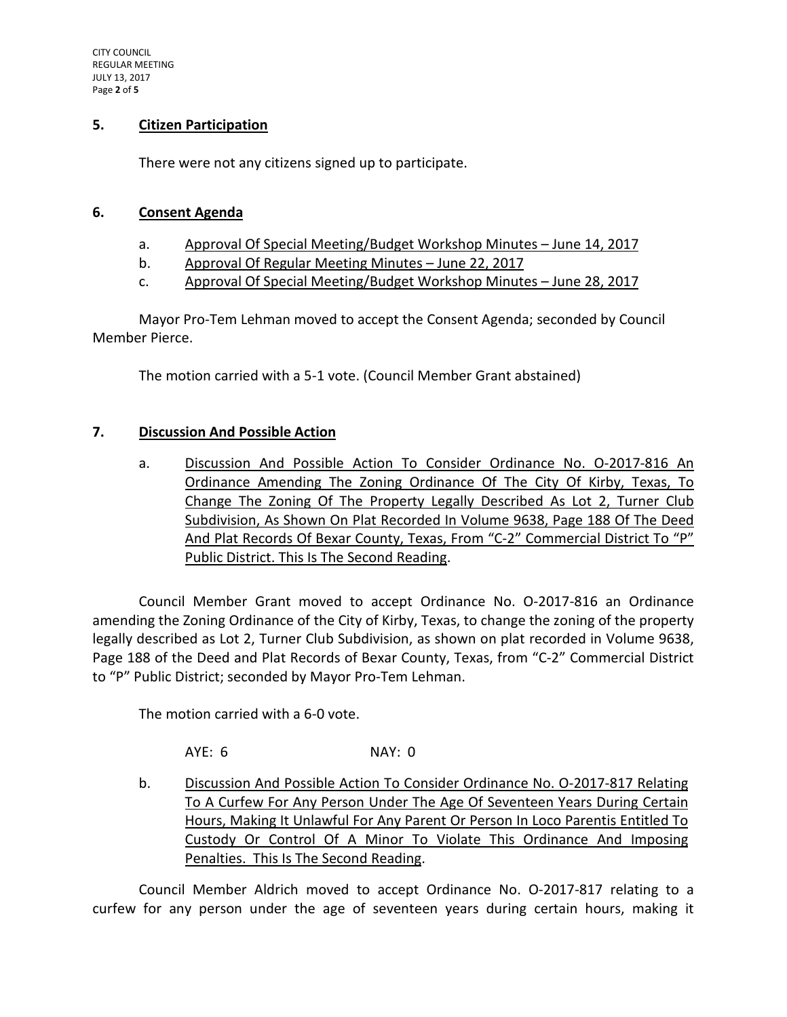### **5. Citizen Participation**

There were not any citizens signed up to participate.

## **6. Consent Agenda**

- a. Approval Of Special Meeting/Budget Workshop Minutes June 14, 2017
- b. Approval Of Regular Meeting Minutes June 22, 2017
- c. Approval Of Special Meeting/Budget Workshop Minutes June 28, 2017

Mayor Pro-Tem Lehman moved to accept the Consent Agenda; seconded by Council Member Pierce.

The motion carried with a 5-1 vote. (Council Member Grant abstained)

## **7. Discussion And Possible Action**

a. Discussion And Possible Action To Consider Ordinance No. O-2017-816 An Ordinance Amending The Zoning Ordinance Of The City Of Kirby, Texas, To Change The Zoning Of The Property Legally Described As Lot 2, Turner Club Subdivision, As Shown On Plat Recorded In Volume 9638, Page 188 Of The Deed And Plat Records Of Bexar County, Texas, From "C-2" Commercial District To "P" Public District. This Is The Second Reading.

Council Member Grant moved to accept Ordinance No. O-2017-816 an Ordinance amending the Zoning Ordinance of the City of Kirby, Texas, to change the zoning of the property legally described as Lot 2, Turner Club Subdivision, as shown on plat recorded in Volume 9638, Page 188 of the Deed and Plat Records of Bexar County, Texas, from "C-2" Commercial District to "P" Public District; seconded by Mayor Pro-Tem Lehman.

The motion carried with a 6-0 vote.

AYE: 6 NAY: 0

b. Discussion And Possible Action To Consider Ordinance No. O-2017-817 Relating To A Curfew For Any Person Under The Age Of Seventeen Years During Certain Hours, Making It Unlawful For Any Parent Or Person In Loco Parentis Entitled To Custody Or Control Of A Minor To Violate This Ordinance And Imposing Penalties. This Is The Second Reading.

Council Member Aldrich moved to accept Ordinance No. O-2017-817 relating to a curfew for any person under the age of seventeen years during certain hours, making it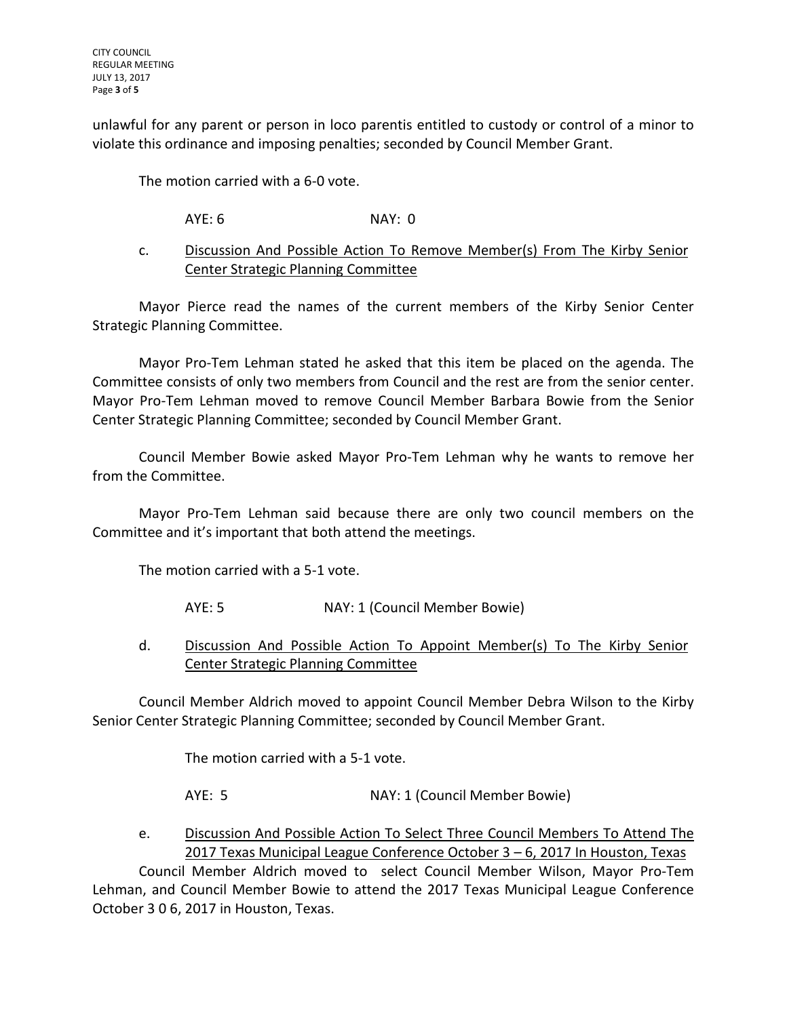unlawful for any parent or person in loco parentis entitled to custody or control of a minor to violate this ordinance and imposing penalties; seconded by Council Member Grant.

The motion carried with a 6-0 vote.

# AYE: 6 NAY: 0

## c. Discussion And Possible Action To Remove Member(s) From The Kirby Senior Center Strategic Planning Committee

Mayor Pierce read the names of the current members of the Kirby Senior Center Strategic Planning Committee.

Mayor Pro-Tem Lehman stated he asked that this item be placed on the agenda. The Committee consists of only two members from Council and the rest are from the senior center. Mayor Pro-Tem Lehman moved to remove Council Member Barbara Bowie from the Senior Center Strategic Planning Committee; seconded by Council Member Grant.

Council Member Bowie asked Mayor Pro-Tem Lehman why he wants to remove her from the Committee.

Mayor Pro-Tem Lehman said because there are only two council members on the Committee and it's important that both attend the meetings.

The motion carried with a 5-1 vote.

- AYE: 5 NAY: 1 (Council Member Bowie)
- d. Discussion And Possible Action To Appoint Member(s) To The Kirby Senior Center Strategic Planning Committee

Council Member Aldrich moved to appoint Council Member Debra Wilson to the Kirby Senior Center Strategic Planning Committee; seconded by Council Member Grant.

The motion carried with a 5-1 vote.

AYE: 5 NAY: 1 (Council Member Bowie)

e. Discussion And Possible Action To Select Three Council Members To Attend The 2017 Texas Municipal League Conference October 3 – 6, 2017 In Houston, Texas

Council Member Aldrich moved to select Council Member Wilson, Mayor Pro-Tem Lehman, and Council Member Bowie to attend the 2017 Texas Municipal League Conference October 3 0 6, 2017 in Houston, Texas.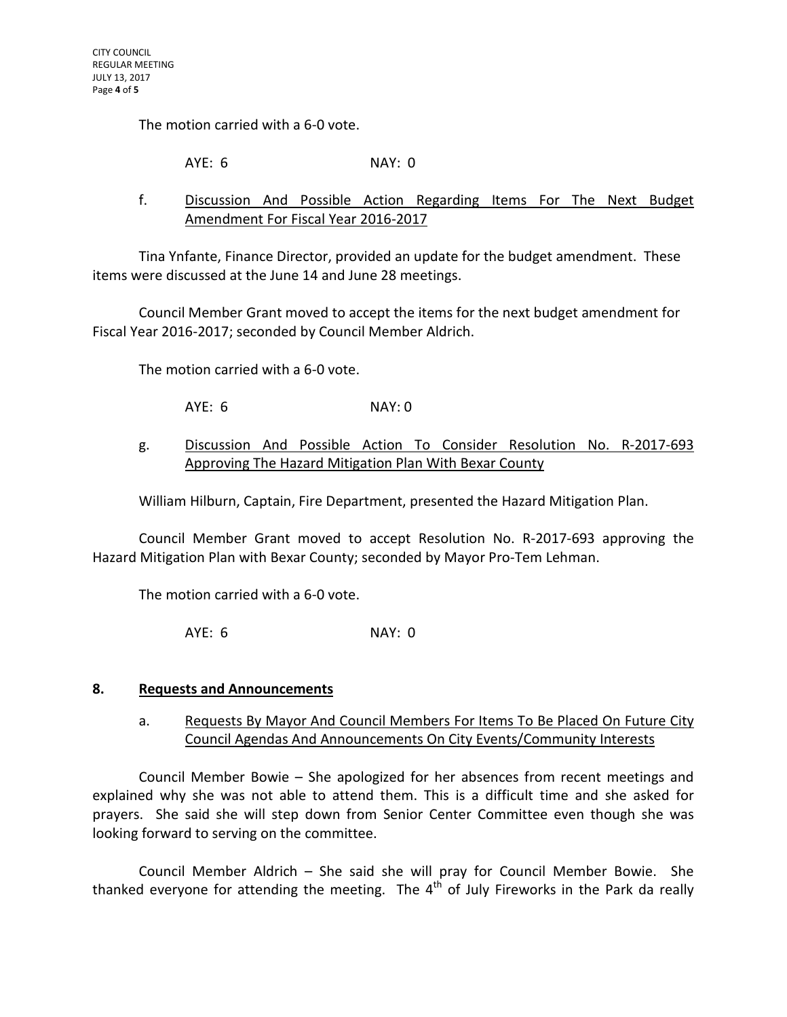The motion carried with a 6-0 vote.

AYE: 6 NAY: 0

## f. Discussion And Possible Action Regarding Items For The Next Budget Amendment For Fiscal Year 2016-2017

Tina Ynfante, Finance Director, provided an update for the budget amendment. These items were discussed at the June 14 and June 28 meetings.

Council Member Grant moved to accept the items for the next budget amendment for Fiscal Year 2016-2017; seconded by Council Member Aldrich.

The motion carried with a 6-0 vote.

AYE: 6 NAY: 0

## g. Discussion And Possible Action To Consider Resolution No. R-2017-693 Approving The Hazard Mitigation Plan With Bexar County

William Hilburn, Captain, Fire Department, presented the Hazard Mitigation Plan.

Council Member Grant moved to accept Resolution No. R-2017-693 approving the Hazard Mitigation Plan with Bexar County; seconded by Mayor Pro-Tem Lehman.

The motion carried with a 6-0 vote.

AYE: 6 NAY: 0

### **8. Requests and Announcements**

a. Requests By Mayor And Council Members For Items To Be Placed On Future City Council Agendas And Announcements On City Events/Community Interests

Council Member Bowie – She apologized for her absences from recent meetings and explained why she was not able to attend them. This is a difficult time and she asked for prayers. She said she will step down from Senior Center Committee even though she was looking forward to serving on the committee.

Council Member Aldrich – She said she will pray for Council Member Bowie. She thanked everyone for attending the meeting. The  $4<sup>th</sup>$  of July Fireworks in the Park da really